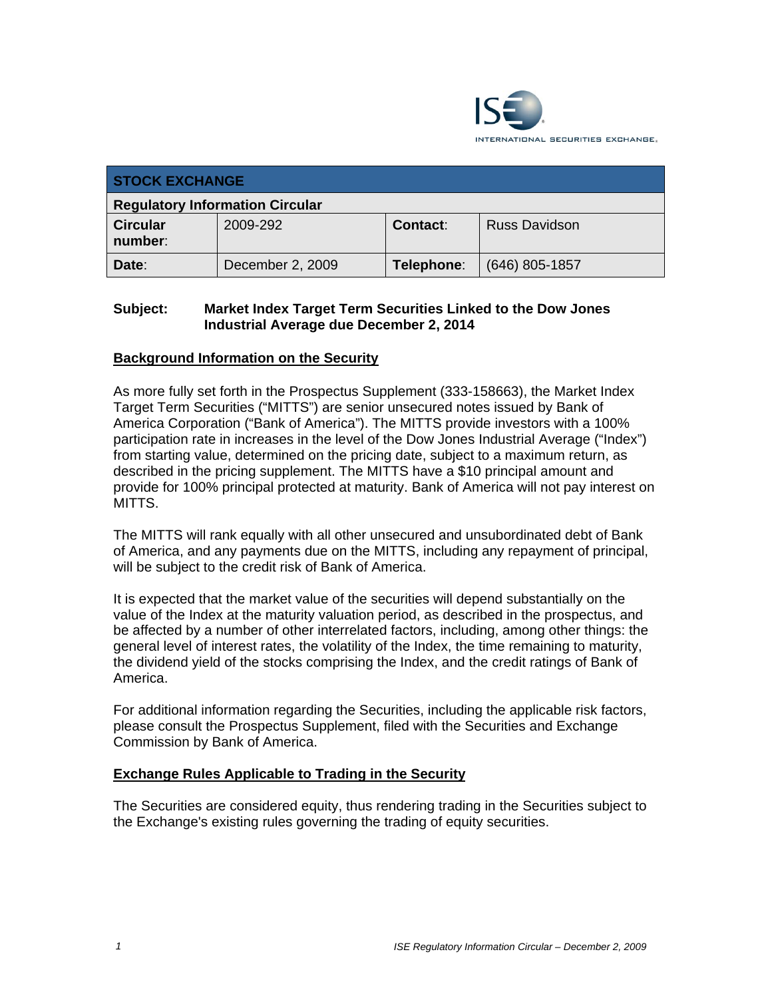

| <b>STOCK EXCHANGE</b>                  |                  |            |                      |  |  |
|----------------------------------------|------------------|------------|----------------------|--|--|
| <b>Regulatory Information Circular</b> |                  |            |                      |  |  |
| <b>Circular</b><br>number:             | 2009-292         | Contact:   | <b>Russ Davidson</b> |  |  |
| Date:                                  | December 2, 2009 | Telephone: | $(646)$ 805-1857     |  |  |

## **Subject: Market Index Target Term Securities Linked to the Dow Jones Industrial Average due December 2, 2014**

## **Background Information on the Security**

As more fully set forth in the Prospectus Supplement (333-158663), the Market Index Target Term Securities ("MITTS") are senior unsecured notes issued by Bank of America Corporation ("Bank of America"). The MITTS provide investors with a 100% participation rate in increases in the level of the Dow Jones Industrial Average ("Index") from starting value, determined on the pricing date, subject to a maximum return, as described in the pricing supplement. The MITTS have a \$10 principal amount and provide for 100% principal protected at maturity. Bank of America will not pay interest on MITTS.

The MITTS will rank equally with all other unsecured and unsubordinated debt of Bank of America, and any payments due on the MITTS, including any repayment of principal, will be subject to the credit risk of Bank of America.

It is expected that the market value of the securities will depend substantially on the value of the Index at the maturity valuation period, as described in the prospectus, and be affected by a number of other interrelated factors, including, among other things: the general level of interest rates, the volatility of the Index, the time remaining to maturity, the dividend yield of the stocks comprising the Index, and the credit ratings of Bank of America.

For additional information regarding the Securities, including the applicable risk factors, please consult the Prospectus Supplement, filed with the Securities and Exchange Commission by Bank of America.

## **Exchange Rules Applicable to Trading in the Security**

The Securities are considered equity, thus rendering trading in the Securities subject to the Exchange's existing rules governing the trading of equity securities.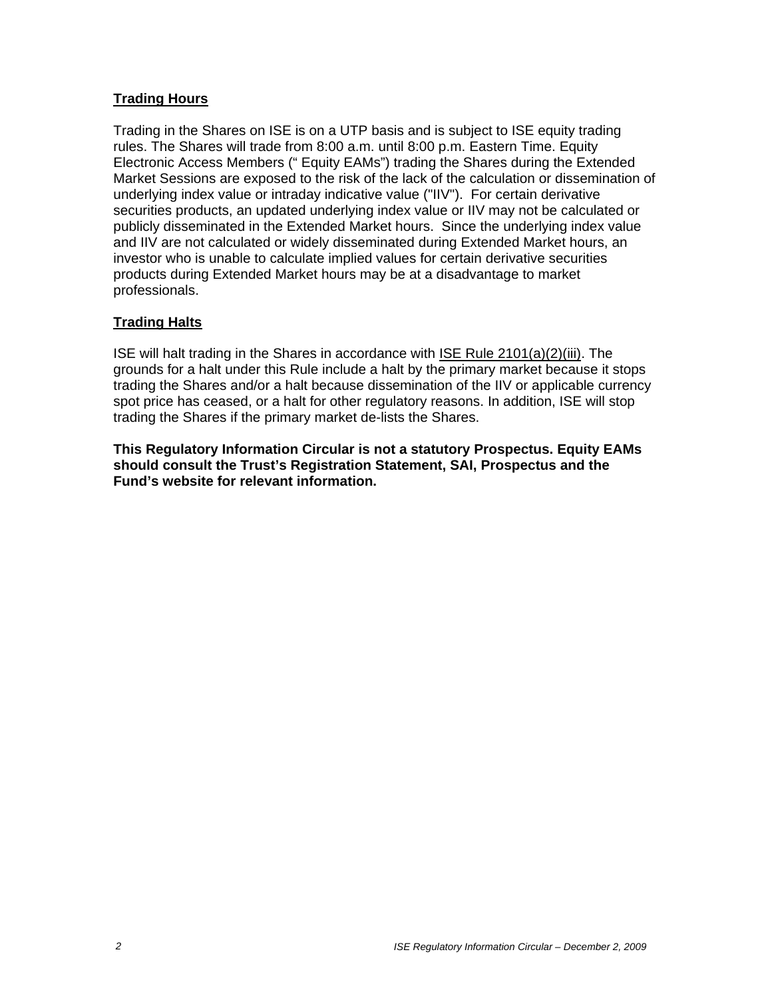## **Trading Hours**

Trading in the Shares on ISE is on a UTP basis and is subject to ISE equity trading rules. The Shares will trade from 8:00 a.m. until 8:00 p.m. Eastern Time. Equity Electronic Access Members (" Equity EAMs") trading the Shares during the Extended Market Sessions are exposed to the risk of the lack of the calculation or dissemination of underlying index value or intraday indicative value ("IIV"). For certain derivative securities products, an updated underlying index value or IIV may not be calculated or publicly disseminated in the Extended Market hours. Since the underlying index value and IIV are not calculated or widely disseminated during Extended Market hours, an investor who is unable to calculate implied values for certain derivative securities products during Extended Market hours may be at a disadvantage to market professionals.

## **Trading Halts**

ISE will halt trading in the Shares in accordance with ISE Rule 2101(a)(2)(iii). The grounds for a halt under this Rule include a halt by the primary market because it stops trading the Shares and/or a halt because dissemination of the IIV or applicable currency spot price has ceased, or a halt for other regulatory reasons. In addition, ISE will stop trading the Shares if the primary market de-lists the Shares.

**This Regulatory Information Circular is not a statutory Prospectus. Equity EAMs should consult the Trust's Registration Statement, SAI, Prospectus and the Fund's website for relevant information.**